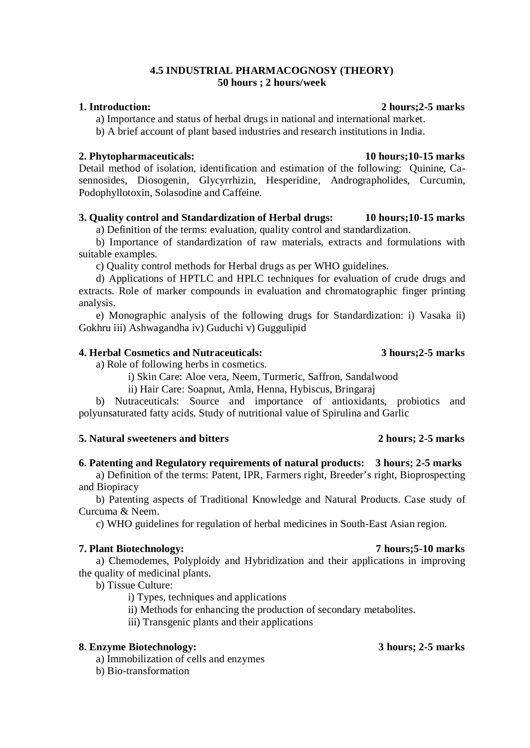## **4.5 INDUSTRIAL PHARMACOGNOSY (THEORY) 50 hours ; 2 hours/week**

### **1. Introduction: 2 hours;2-5 marks**

a) Importance and status of herbal drugs in national and international market.

b) A brief account of plant based industries and research institutions in India.

### **2. Phytopharmaceuticals: 10 hours;10-15 marks**

Detail method of isolation, identification and estimation of the following: Quinine, Casennosides, Diosogenin, Glycyrrhizin, Hesperidine, Andrographolides, Curcumin, Podophyllotoxin, Solasodine and Caffeine.

## **3. Quality control and Standardization of Herbal drugs: 10 hours;10-15 marks**

a) Definition of the terms: evaluation, quality control and standardization.

b) Importance of standardization of raw materials, extracts and formulations with suitable examples.

c) Quality control methods for Herbal drugs as per WHO guidelines.

d) Applications of HPTLC and HPLC techniques for evaluation of crude drugs and extracts. Role of marker compounds in evaluation and chromatographic finger printing analysis.

e) Monographic analysis of the following drugs for Standardization: i) Vasaka ii) Gokhru iii) Ashwagandha iv) Guduchi v) Guggulipid

## **4. Herbal Cosmetics and Nutraceuticals: 3 hours;2-5 marks**

a) Role of following herbs in cosmetics.

i) Skin Care: Aloe vera, Neem, Turmeric, Saffron, Sandalwood

ii) Hair Care: Soapnut, Amla, Henna, Hybiscus, Bringaraj

b) Nutraceuticals: Source and importance of antioxidants, probiotics and polyunsaturated fatty acids. Study of nutritional value of Spirulina and Garlic

### **5. Natural sweeteners and bitters 2 hours; 2-5 marks**

## **6. Patenting and Regulatory requirements of natural products: 3 hours; 2-5 marks**

a) Definition of the terms: Patent, IPR, Farmers right, Breeder's right, Bioprospecting and Biopiracy

b) Patenting aspects of Traditional Knowledge and Natural Products. Case study of Curcuma & Neem.

c) WHO guidelines for regulation of herbal medicines in South-East Asian region.

### **7. Plant Biotechnology: 7 hours;5-10 marks**

a) Chemodemes, Polyploidy and Hybridization and their applications in improving the quality of medicinal plants.

b) Tissue Culture:

i) Types, techniques and applications

ii) Methods for enhancing the production of secondary metabolites.

iii) Transgenic plants and their applications

## **8. Enzyme Biotechnology: 3 hours; 2-5 marks**

a) Immobilization of cells and enzymes

b) Bio-transformation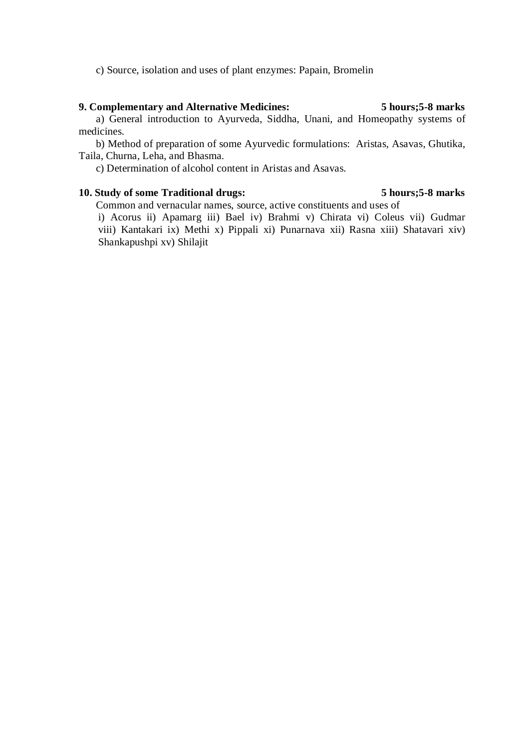c) Source, isolation and uses of plant enzymes: Papain, Bromelin

### **9. Complementary and Alternative Medicines: 5 hours;5-8 marks**

a) General introduction to Ayurveda, Siddha, Unani, and Homeopathy systems of medicines.

b) Method of preparation of some Ayurvedic formulations: Aristas, Asavas, Ghutika, Taila, Churna, Leha, and Bhasma.

c) Determination of alcohol content in Aristas and Asavas.

## **10. Study of some Traditional drugs: 5 hours;5-8 marks**

Common and vernacular names, source, active constituents and uses of

i) Acorus ii) Apamarg iii) Bael iv) Brahmi v) Chirata vi) Coleus vii) Gudmar viii) Kantakari ix) Methi x) Pippali xi) Punarnava xii) Rasna xiii) Shatavari xiv) Shankapushpi xv) Shilajit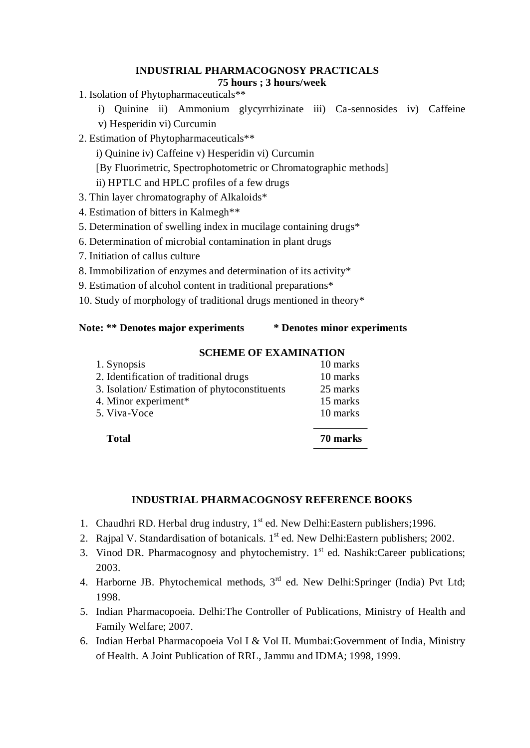### **INDUSTRIAL PHARMACOGNOSY PRACTICALS 75 hours ; 3 hours/week**

1. Isolation of Phytopharmaceuticals\*\*

i) Quinine ii) Ammonium glycyrrhizinate iii) Ca-sennosides iv) Caffeine v) Hesperidin vi) Curcumin

2. Estimation of Phytopharmaceuticals\*\*

i) Quinine iv) Caffeine v) Hesperidin vi) Curcumin

[By Fluorimetric, Spectrophotometric or Chromatographic methods]

ii) HPTLC and HPLC profiles of a few drugs

3. Thin layer chromatography of Alkaloids\*

- 4. Estimation of bitters in Kalmegh\*\*
- 5. Determination of swelling index in mucilage containing drugs\*
- 6. Determination of microbial contamination in plant drugs
- 7. Initiation of callus culture
- 8. Immobilization of enzymes and determination of its activity\*
- 9. Estimation of alcohol content in traditional preparations\*

10. Study of morphology of traditional drugs mentioned in theory\*

# **Note: \*\* Denotes major experiments \* Denotes minor experiments**

# **SCHEME OF EXAMINATION**

| <b>Total</b>                                 | 70 marks |
|----------------------------------------------|----------|
| 5. Viva-Voce                                 | 10 marks |
| 4. Minor experiment*                         | 15 marks |
| 3. Isolation/Estimation of phytoconstituents | 25 marks |
| 2. Identification of traditional drugs       | 10 marks |
| 1. Synopsis                                  | 10 marks |

# **INDUSTRIAL PHARMACOGNOSY REFERENCE BOOKS**

- 1. Chaudhri RD. Herbal drug industry, 1<sup>st</sup> ed. New Delhi: Eastern publishers; 1996.
- 2. Rajpal V. Standardisation of botanicals. 1<sup>st</sup> ed. New Delhi: Eastern publishers; 2002.
- 3. Vinod DR. Pharmacognosy and phytochemistry.  $1<sup>st</sup>$  ed. Nashik:Career publications; 2003.
- 4. Harborne JB. Phytochemical methods, 3<sup>rd</sup> ed. New Delhi:Springer (India) Pvt Ltd; 1998.
- 5. Indian Pharmacopoeia. Delhi:The Controller of Publications, Ministry of Health and Family Welfare; 2007.
- 6. Indian Herbal Pharmacopoeia Vol I & Vol II. Mumbai:Government of India, Ministry of Health. A Joint Publication of RRL, Jammu and IDMA; 1998, 1999.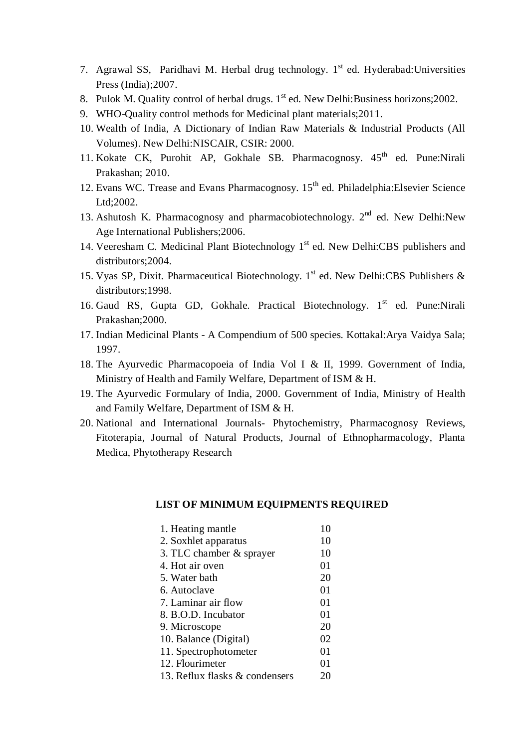- 7. Agrawal SS, Paridhavi M. Herbal drug technology. 1<sup>st</sup> ed. Hyderabad: Universities Press (India);2007.
- 8. Pulok M. Quality control of herbal drugs. 1<sup>st</sup> ed. New Delhi: Business horizons; 2002.
- 9. WHO-Quality control methods for Medicinal plant materials;2011.
- 10. Wealth of India, A Dictionary of Indian Raw Materials & Industrial Products (All Volumes). New Delhi:NISCAIR, CSIR: 2000.
- 11. Kokate CK, Purohit AP, Gokhale SB. Pharmacognosy. 45<sup>th</sup> ed. Pune:Nirali Prakashan; 2010.
- 12. Evans WC. Trease and Evans Pharmacognosy. 15<sup>th</sup> ed. Philadelphia: Elsevier Science Ltd;2002.
- 13. Ashutosh K. Pharmacognosy and pharmacobiotechnology.  $2<sup>nd</sup>$  ed. New Delhi:New Age International Publishers;2006.
- 14. Veeresham C. Medicinal Plant Biotechnology 1<sup>st</sup> ed. New Delhi:CBS publishers and distributors; 2004.
- 15. Vyas SP, Dixit. Pharmaceutical Biotechnology. 1<sup>st</sup> ed. New Delhi:CBS Publishers & distributors;1998.
- 16. Gaud RS, Gupta GD, Gokhale. Practical Biotechnology. 1st ed. Pune:Nirali Prakashan;2000.
- 17. Indian Medicinal Plants A Compendium of 500 species. Kottakal:Arya Vaidya Sala; 1997.
- 18. The Ayurvedic Pharmacopoeia of India Vol I & II, 1999. Government of India, Ministry of Health and Family Welfare, Department of ISM & H.
- 19. The Ayurvedic Formulary of India, 2000. Government of India, Ministry of Health and Family Welfare, Department of ISM & H.
- 20. National and International Journals- Phytochemistry, Pharmacognosy Reviews, Fitoterapia, Journal of Natural Products, Journal of Ethnopharmacology, Planta Medica, Phytotherapy Research

## **LIST OF MINIMUM EQUIPMENTS REQUIRED**

| 1. Heating mantle              | 10 |
|--------------------------------|----|
| 2. Soxhlet apparatus           | 10 |
| 3. TLC chamber & sprayer       | 10 |
| 4. Hot air oven                | 01 |
| 5. Water bath                  | 20 |
| 6. Autoclave                   | 01 |
| 7. Laminar air flow            | 01 |
| 8. B.O.D. Incubator            | 01 |
| 9. Microscope                  | 20 |
| 10. Balance (Digital)          | 02 |
| 11. Spectrophotometer          | 01 |
| 12. Flourimeter                | 01 |
| 13. Reflux flasks & condensers | 20 |
|                                |    |